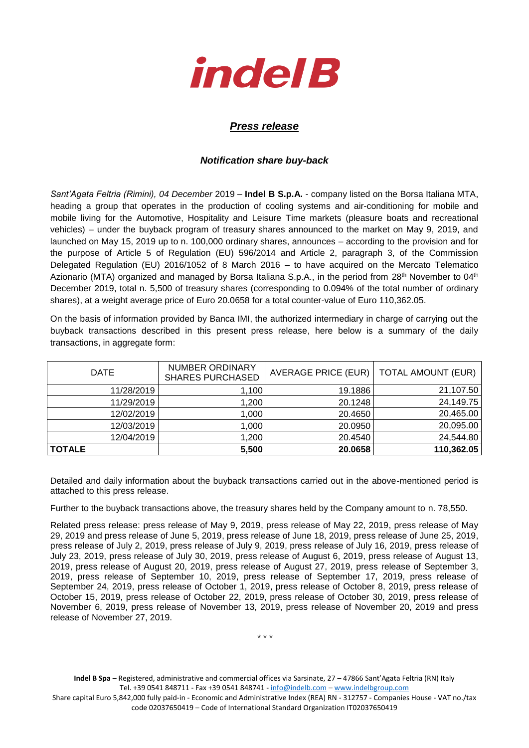

## *Press release*

## *Notification share buy-back*

*Sant'Agata Feltria (Rimini), 04 December* 2019 – **Indel B S.p.A.** - company listed on the Borsa Italiana MTA, heading a group that operates in the production of cooling systems and air-conditioning for mobile and mobile living for the Automotive, Hospitality and Leisure Time markets (pleasure boats and recreational vehicles) – under the buyback program of treasury shares announced to the market on May 9, 2019, and launched on May 15, 2019 up to n. 100,000 ordinary shares, announces – according to the provision and for the purpose of Article 5 of Regulation (EU) 596/2014 and Article 2, paragraph 3, of the Commission Delegated Regulation (EU) 2016/1052 of 8 March 2016 – to have acquired on the Mercato Telematico Azionario (MTA) organized and managed by Borsa Italiana S.p.A., in the period from 28<sup>th</sup> November to 04<sup>th</sup> December 2019, total n. 5,500 of treasury shares (corresponding to 0.094% of the total number of ordinary shares), at a weight average price of Euro 20.0658 for a total counter-value of Euro 110,362.05.

On the basis of information provided by Banca IMI, the authorized intermediary in charge of carrying out the buyback transactions described in this present press release, here below is a summary of the daily transactions, in aggregate form:

| <b>DATE</b>   | <b>NUMBER ORDINARY</b><br><b>SHARES PURCHASED</b> | AVERAGE PRICE (EUR)   TOTAL AMOUNT (EUR) |            |
|---------------|---------------------------------------------------|------------------------------------------|------------|
| 11/28/2019    | 100, <i>،</i>                                     | 19.1886                                  | 21,107.50  |
| 11/29/2019    | 1,200                                             | 20.1248                                  | 24,149.75  |
| 12/02/2019    | 1,000                                             | 20.4650                                  | 20,465.00  |
| 12/03/2019    | 1,000                                             | 20.0950                                  | 20,095.00  |
| 12/04/2019    | 1,200                                             | 20.4540                                  | 24,544.80  |
| <b>TOTALE</b> | 5,500                                             | 20.0658                                  | 110,362.05 |

Detailed and daily information about the buyback transactions carried out in the above-mentioned period is attached to this press release.

Further to the buyback transactions above, the treasury shares held by the Company amount to n. 78,550.

Related press release: press release of May 9, 2019, press release of May 22, 2019, press release of May 29, 2019 and press release of June 5, 2019, press release of June 18, 2019, press release of June 25, 2019, press release of July 2, 2019, press release of July 9, 2019, press release of July 16, 2019, press release of July 23, 2019, press release of July 30, 2019, press release of August 6, 2019, press release of August 13, 2019, press release of August 20, 2019, press release of August 27, 2019, press release of September 3, 2019, press release of September 10, 2019, press release of September 17, 2019, press release of September 24, 2019, press release of October 1, 2019, press release of October 8, 2019, press release of October 15, 2019, press release of October 22, 2019, press release of October 30, 2019, press release of November 6, 2019, press release of November 13, 2019, press release of November 20, 2019 and press release of November 27, 2019.

\* \* \*

**Indel B Spa** – Registered, administrative and commercial offices via Sarsinate, 27 – 47866 Sant'Agata Feltria (RN) Italy Tel. +39 0541 848711 - Fax +39 0541 848741 - [info@indelb.com](mailto:info@indelb.com) – [www.indelbgroup.com](http://www.indelbgroup.com/)

Share capital Euro 5,842,000 fully paid-in - Economic and Administrative Index (REA) RN - 312757 - Companies House - VAT no./tax code 02037650419 – Code of International Standard Organization IT02037650419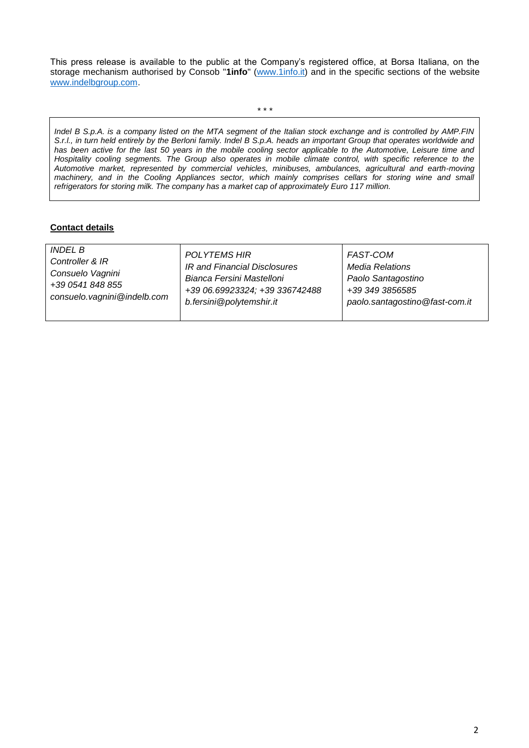This press release is available to the public at the Company's registered office, at Borsa Italiana, on the storage mechanism authorised by Consob "**1info**" [\(www.1info.it\)](file:///C:/Users/ddelietovollaro/AppData/Local/Microsoft/Windows/INetCache/Content.Outlook/T87B94UR/www.1info.it) and in the specific sections of the website [www.indelbgroup.com.](http://www.indelbgroup.com/)

\* \* \*

*Indel B S.p.A. is a company listed on the MTA segment of the Italian stock exchange and is controlled by AMP.FIN S.r.l., in turn held entirely by the Berloni family. Indel B S.p.A. heads an important Group that operates worldwide and*  has been active for the last 50 years in the mobile cooling sector applicable to the Automotive, Leisure time and *Hospitality cooling segments. The Group also operates in mobile climate control, with specific reference to the Automotive market, represented by commercial vehicles, minibuses, ambulances, agricultural and earth-moving machinery, and in the Cooling Appliances sector, which mainly comprises cellars for storing wine and small refrigerators for storing milk. The company has a market cap of approximately Euro 117 million.* 

## **Contact details**

| <i>INDEL B</i><br><b>POLYTEMS HIR</b><br><b>FAST-COM</b><br>Controller & IR<br>IR and Financial Disclosures<br><b>Media Relations</b><br>Consuelo Vagnini<br>Bianca Fersini Mastelloni<br>Paolo Santagostino<br>+39 0541 848 855<br>+39 06.69923324; +39 336742488<br>+39 349 3856585<br>consuelo.vagnini@indelb.com<br>b.fersini@polytemshir.it<br>paolo.santagostino@fast-com.it |  |
|------------------------------------------------------------------------------------------------------------------------------------------------------------------------------------------------------------------------------------------------------------------------------------------------------------------------------------------------------------------------------------|--|
|------------------------------------------------------------------------------------------------------------------------------------------------------------------------------------------------------------------------------------------------------------------------------------------------------------------------------------------------------------------------------------|--|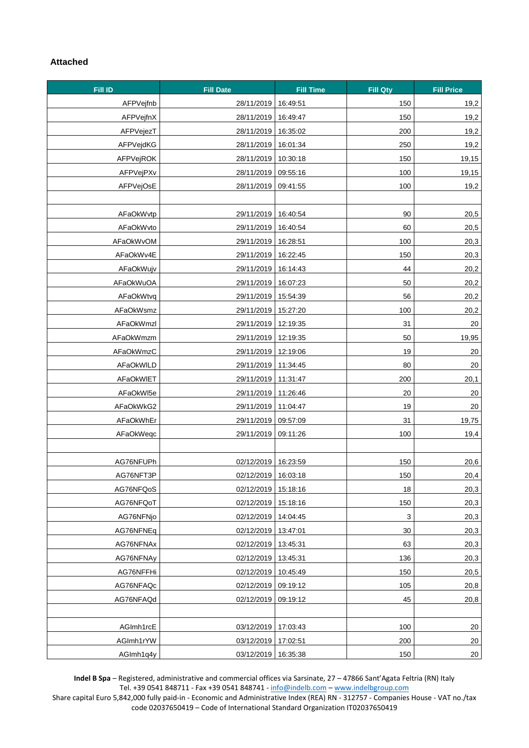## **Attached**

| Fill ID   | <b>Fill Date</b>    | <b>Fill Time</b> | <b>Fill Qty</b>           | <b>Fill Price</b> |
|-----------|---------------------|------------------|---------------------------|-------------------|
| AFPVejfnb | 28/11/2019          | 16:49:51         | 150                       | 19,2              |
| AFPVejfnX | 28/11/2019          | 16:49:47         | 150                       | 19,2              |
| AFPVejezT | 28/11/2019          | 16:35:02         | 200                       | 19,2              |
| AFPVejdKG | 28/11/2019          | 16:01:34         | 250                       | 19,2              |
| AFPVejROK | 28/11/2019          | 10:30:18         | 150                       | 19,15             |
| AFPVejPXv | 28/11/2019          | 09:55:16         | 100                       | 19,15             |
| AFPVejOsE | 28/11/2019          | 09:41:55         | 100                       | 19,2              |
|           |                     |                  |                           |                   |
| AFaOkWvtp | 29/11/2019          | 16:40:54         | 90                        | 20,5              |
| AFaOkWvto | 29/11/2019          | 16:40:54         | 60                        | 20,5              |
| AFaOkWvOM | 29/11/2019          | 16:28:51         | 100                       | 20,3              |
| AFaOkWv4E | 29/11/2019          | 16:22:45         | 150                       | 20,3              |
| AFaOkWujv | 29/11/2019          | 16:14:43         | 44                        | 20,2              |
| AFaOkWuOA | 29/11/2019          | 16:07:23         | 50                        | 20,2              |
| AFaOkWtvq | 29/11/2019          | 15:54:39         | 56                        | 20,2              |
| AFaOkWsmz | 29/11/2019          | 15:27:20         | 100                       | 20,2              |
| AFaOkWmzl | 29/11/2019          | 12:19:35         | 31                        | 20                |
| AFaOkWmzm | 29/11/2019          | 12:19:35         | 50                        | 19,95             |
| AFaOkWmzC | 29/11/2019          | 12:19:06         | 19                        | 20                |
| AFaOkWILD | 29/11/2019          | 11:34:45         | 80                        | 20                |
| AFaOkWIET | 29/11/2019          | 11:31:47         | 200                       | 20,1              |
| AFaOkWI5e | 29/11/2019          | 11:26:46         | 20                        | 20                |
| AFaOkWkG2 | 29/11/2019          | 11:04:47         | 19                        | 20                |
| AFaOkWhEr | 29/11/2019          | 09:57:09         | 31                        | 19,75             |
| AFaOkWeqc | 29/11/2019          | 09:11:26         | 100                       | 19,4              |
|           |                     |                  |                           |                   |
| AG76NFUPh | 02/12/2019          | 16:23:59         | 150                       | 20,6              |
| AG76NFT3P | 02/12/2019 16:03:18 |                  | 150                       | 20.4              |
| AG76NFQoS | 02/12/2019          | 15:18:16         | 18                        | 20,3              |
| AG76NFQoT | 02/12/2019          | 15:18:16         | 150                       | 20,3              |
| AG76NFNjo | 02/12/2019          | 14:04:45         | $\ensuremath{\mathsf{3}}$ | 20,3              |
| AG76NFNEq | 02/12/2019          | 13:47:01         | 30                        | 20,3              |
| AG76NFNAx | 02/12/2019          | 13:45:31         | 63                        | 20,3              |
| AG76NFNAy | 02/12/2019          | 13:45:31         | 136                       | 20,3              |
| AG76NFFHi | 02/12/2019          | 10:45:49         | 150                       | 20,5              |
| AG76NFAQc | 02/12/2019          | 09:19:12         | 105                       | 20,8              |
| AG76NFAQd | 02/12/2019          | 09:19:12         | 45                        | 20,8              |
|           |                     |                  |                           |                   |
| AGImh1rcE | 03/12/2019          | 17:03:43         | 100                       | 20                |
| AGImh1rYW | 03/12/2019          | 17:02:51         | 200                       | 20                |
| AGImh1q4y | 03/12/2019          | 16:35:38         | 150                       | 20                |

**Indel B Spa** – Registered, administrative and commercial offices via Sarsinate, 27 – 47866 Sant'Agata Feltria (RN) Italy Tel. +39 0541 848711 - Fax +39 0541 848741 - [info@indelb.com](mailto:info@indelb.com) – [www.indelbgroup.com](http://www.indelbgroup.com/)

Share capital Euro 5,842,000 fully paid-in - Economic and Administrative Index (REA) RN - 312757 - Companies House - VAT no./tax code 02037650419 – Code of International Standard Organization IT02037650419